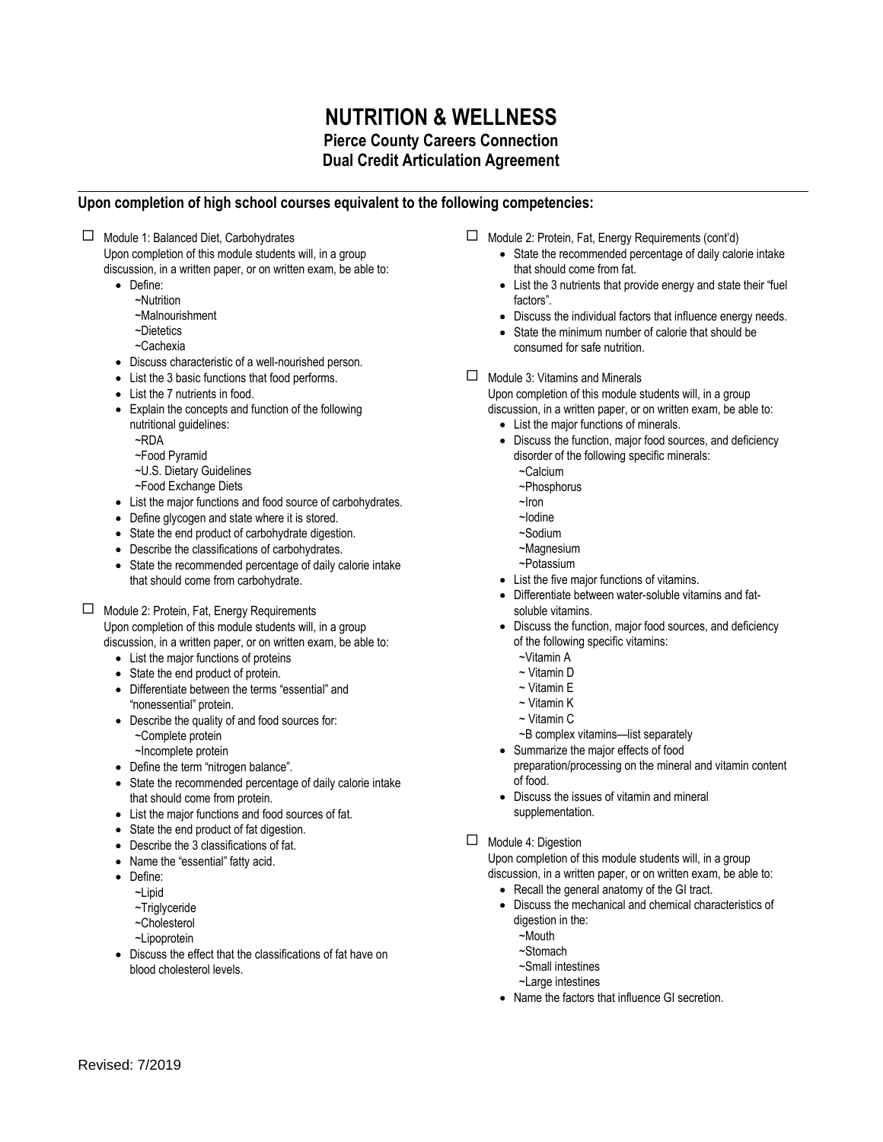## **NUTRITION & WELLNESS Pierce County Careers Connection Dual Credit Articulation Agreement**

## **Upon completion of high school courses equivalent to the following competencies:**

 $\Box$  Module 1: Balanced Diet, Carbohydrates Upon completion of this module students will, in a group

discussion, in a written paper, or on written exam, be able to:

- Define:
	- ~Nutrition
	- ~Malnourishment
	- ~Dietetics
	- ~Cachexia
- Discuss characteristic of a well-nourished person.
- List the 3 basic functions that food performs.
- List the 7 nutrients in food.
- Explain the concepts and function of the following nutritional guidelines:
	- ~RDA
	- ~Food Pyramid
	- ~U.S. Dietary Guidelines
	- ~Food Exchange Diets
- List the major functions and food source of carbohydrates.
- Define glycogen and state where it is stored.
- State the end product of carbohydrate digestion.
- Describe the classifications of carbohydrates.
- State the recommended percentage of daily calorie intake that should come from carbohydrate.

Module 2: Protein, Fat, Energy Requirements

Upon completion of this module students will, in a group discussion, in a written paper, or on written exam, be able to:

- List the major functions of proteins
- State the end product of protein.
- Differentiate between the terms "essential" and "nonessential" protein.
- Describe the quality of and food sources for:
	- ~Complete protein
	- ~Incomplete protein
- Define the term "nitrogen balance".
- State the recommended percentage of daily calorie intake that should come from protein.
- List the major functions and food sources of fat.
- State the end product of fat digestion.
- Describe the 3 classifications of fat.
- Name the "essential" fatty acid.
- Define:
	- ~Linid
	- ~Triglyceride
	- ~Cholesterol
	- ~Lipoprotein
- Discuss the effect that the classifications of fat have on blood cholesterol levels.
- Module 2: Protein, Fat, Energy Requirements (cont'd)
	- State the recommended percentage of daily calorie intake that should come from fat.
	- List the 3 nutrients that provide energy and state their "fuel factors".
	- Discuss the individual factors that influence energy needs.
	- State the minimum number of calorie that should be consumed for safe nutrition.
- $\Box$  Module 3: Vitamins and Minerals

Upon completion of this module students will, in a group

- discussion, in a written paper, or on written exam, be able to: List the major functions of minerals.
	- Discuss the function, major food sources, and deficiency disorder of the following specific minerals:
		- ~Calcium
		- ~Phosphorus
		- ~Iron
		- ~Iodine
		- ~Sodium
		- ~Magnesium
		- ~Potassium
	- List the five major functions of vitamins.
	- Differentiate between water-soluble vitamins and fatsoluble vitamins.
	- Discuss the function, major food sources, and deficiency of the following specific vitamins:
		- ~Vitamin A
		- ~ Vitamin D
		- ~ Vitamin E
		- ~ Vitamin K
		- ~ Vitamin C
		- ~B complex vitamins—list separately
	- Summarize the major effects of food preparation/processing on the mineral and vitamin content of food.
	- Discuss the issues of vitamin and mineral supplementation.
- $\Box$  Module 4: Digestion

Upon completion of this module students will, in a group discussion, in a written paper, or on written exam, be able to:

- Recall the general anatomy of the GI tract.
- Discuss the mechanical and chemical characteristics of digestion in the:
	- ~Mouth
	- ~Stomach
	- ~Small intestines
	- ~Large intestines
- Name the factors that influence GI secretion.